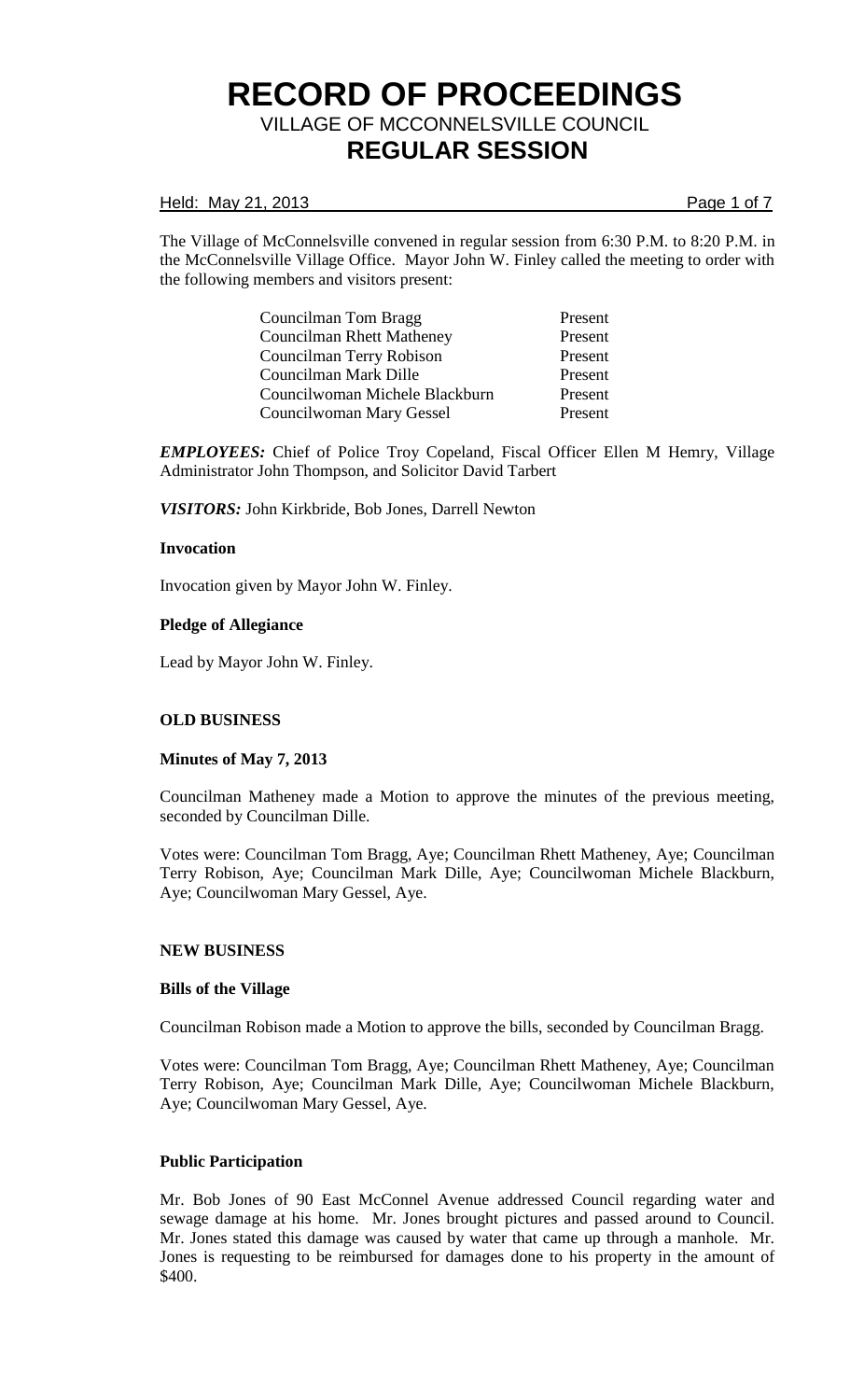#### Held: May 21, 2013 **Page 1 of 7**

The Village of McConnelsville convened in regular session from 6:30 P.M. to 8:20 P.M. in the McConnelsville Village Office. Mayor John W. Finley called the meeting to order with the following members and visitors present:

> Councilman Tom Bragg Present Councilman Rhett Matheney Present Councilman Terry Robison Present Councilman Mark Dille Present Councilwoman Michele Blackburn Present Councilwoman Mary Gessel Present

*EMPLOYEES:* Chief of Police Troy Copeland, Fiscal Officer Ellen M Hemry, Village Administrator John Thompson, and Solicitor David Tarbert

*VISITORS:* John Kirkbride, Bob Jones, Darrell Newton

### **Invocation**

Invocation given by Mayor John W. Finley.

### **Pledge of Allegiance**

Lead by Mayor John W. Finley.

# **OLD BUSINESS**

#### **Minutes of May 7, 2013**

Councilman Matheney made a Motion to approve the minutes of the previous meeting, seconded by Councilman Dille.

Votes were: Councilman Tom Bragg, Aye; Councilman Rhett Matheney, Aye; Councilman Terry Robison, Aye; Councilman Mark Dille, Aye; Councilwoman Michele Blackburn, Aye; Councilwoman Mary Gessel, Aye.

#### **NEW BUSINESS**

#### **Bills of the Village**

Councilman Robison made a Motion to approve the bills, seconded by Councilman Bragg.

Votes were: Councilman Tom Bragg, Aye; Councilman Rhett Matheney, Aye; Councilman Terry Robison, Aye; Councilman Mark Dille, Aye; Councilwoman Michele Blackburn, Aye; Councilwoman Mary Gessel, Aye.

#### **Public Participation**

Mr. Bob Jones of 90 East McConnel Avenue addressed Council regarding water and sewage damage at his home. Mr. Jones brought pictures and passed around to Council. Mr. Jones stated this damage was caused by water that came up through a manhole. Mr. Jones is requesting to be reimbursed for damages done to his property in the amount of \$400.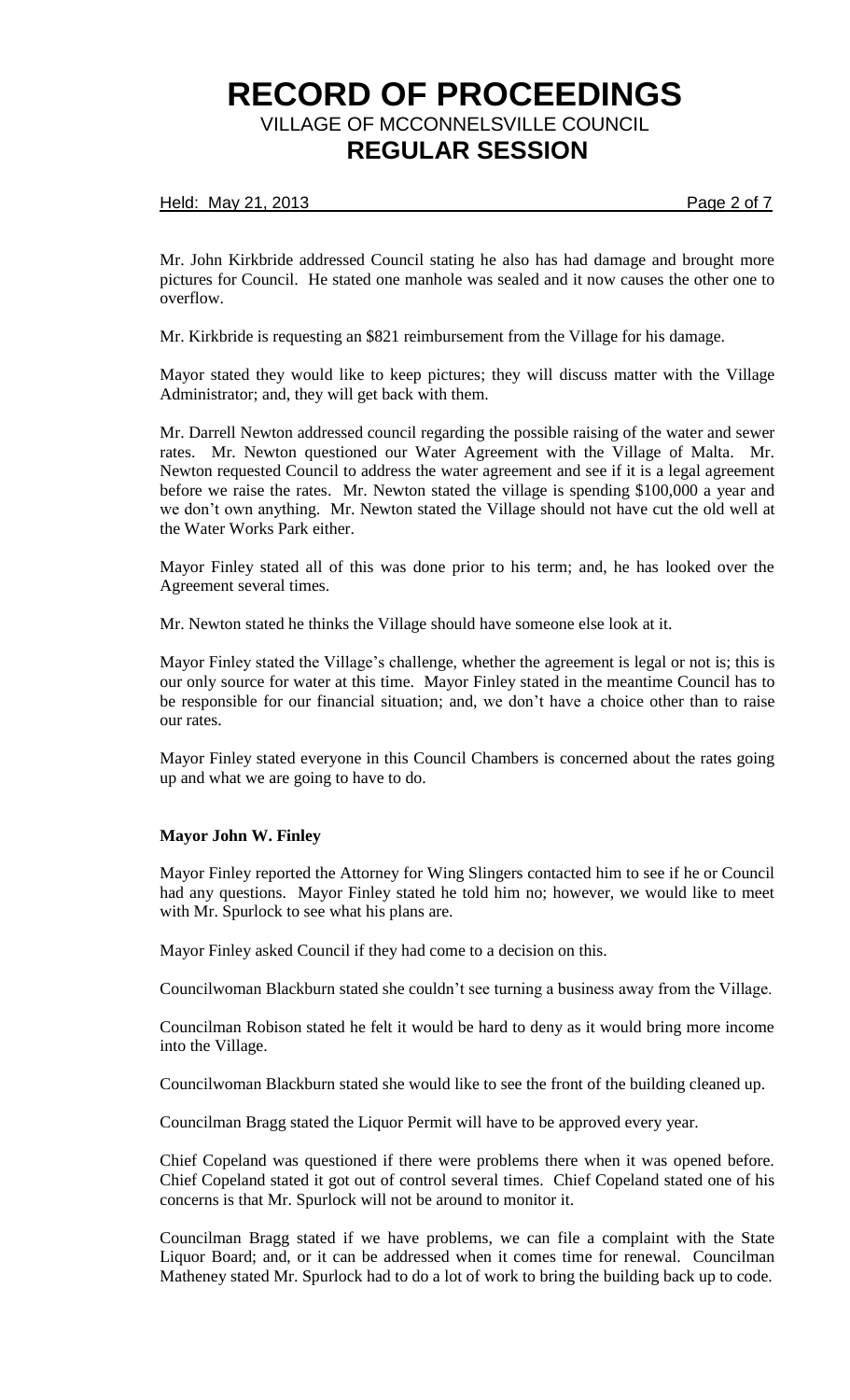### Held: May 21, 2013 **Page 2 of 7**

Mr. John Kirkbride addressed Council stating he also has had damage and brought more pictures for Council. He stated one manhole was sealed and it now causes the other one to overflow.

Mr. Kirkbride is requesting an \$821 reimbursement from the Village for his damage.

Mayor stated they would like to keep pictures; they will discuss matter with the Village Administrator; and, they will get back with them.

Mr. Darrell Newton addressed council regarding the possible raising of the water and sewer rates. Mr. Newton questioned our Water Agreement with the Village of Malta. Mr. Newton requested Council to address the water agreement and see if it is a legal agreement before we raise the rates. Mr. Newton stated the village is spending \$100,000 a year and we don't own anything. Mr. Newton stated the Village should not have cut the old well at the Water Works Park either.

Mayor Finley stated all of this was done prior to his term; and, he has looked over the Agreement several times.

Mr. Newton stated he thinks the Village should have someone else look at it.

Mayor Finley stated the Village's challenge, whether the agreement is legal or not is; this is our only source for water at this time. Mayor Finley stated in the meantime Council has to be responsible for our financial situation; and, we don't have a choice other than to raise our rates.

Mayor Finley stated everyone in this Council Chambers is concerned about the rates going up and what we are going to have to do.

#### **Mayor John W. Finley**

Mayor Finley reported the Attorney for Wing Slingers contacted him to see if he or Council had any questions. Mayor Finley stated he told him no; however, we would like to meet with Mr. Spurlock to see what his plans are.

Mayor Finley asked Council if they had come to a decision on this.

Councilwoman Blackburn stated she couldn't see turning a business away from the Village.

Councilman Robison stated he felt it would be hard to deny as it would bring more income into the Village.

Councilwoman Blackburn stated she would like to see the front of the building cleaned up.

Councilman Bragg stated the Liquor Permit will have to be approved every year.

Chief Copeland was questioned if there were problems there when it was opened before. Chief Copeland stated it got out of control several times. Chief Copeland stated one of his concerns is that Mr. Spurlock will not be around to monitor it.

Councilman Bragg stated if we have problems, we can file a complaint with the State Liquor Board; and, or it can be addressed when it comes time for renewal. Councilman Matheney stated Mr. Spurlock had to do a lot of work to bring the building back up to code.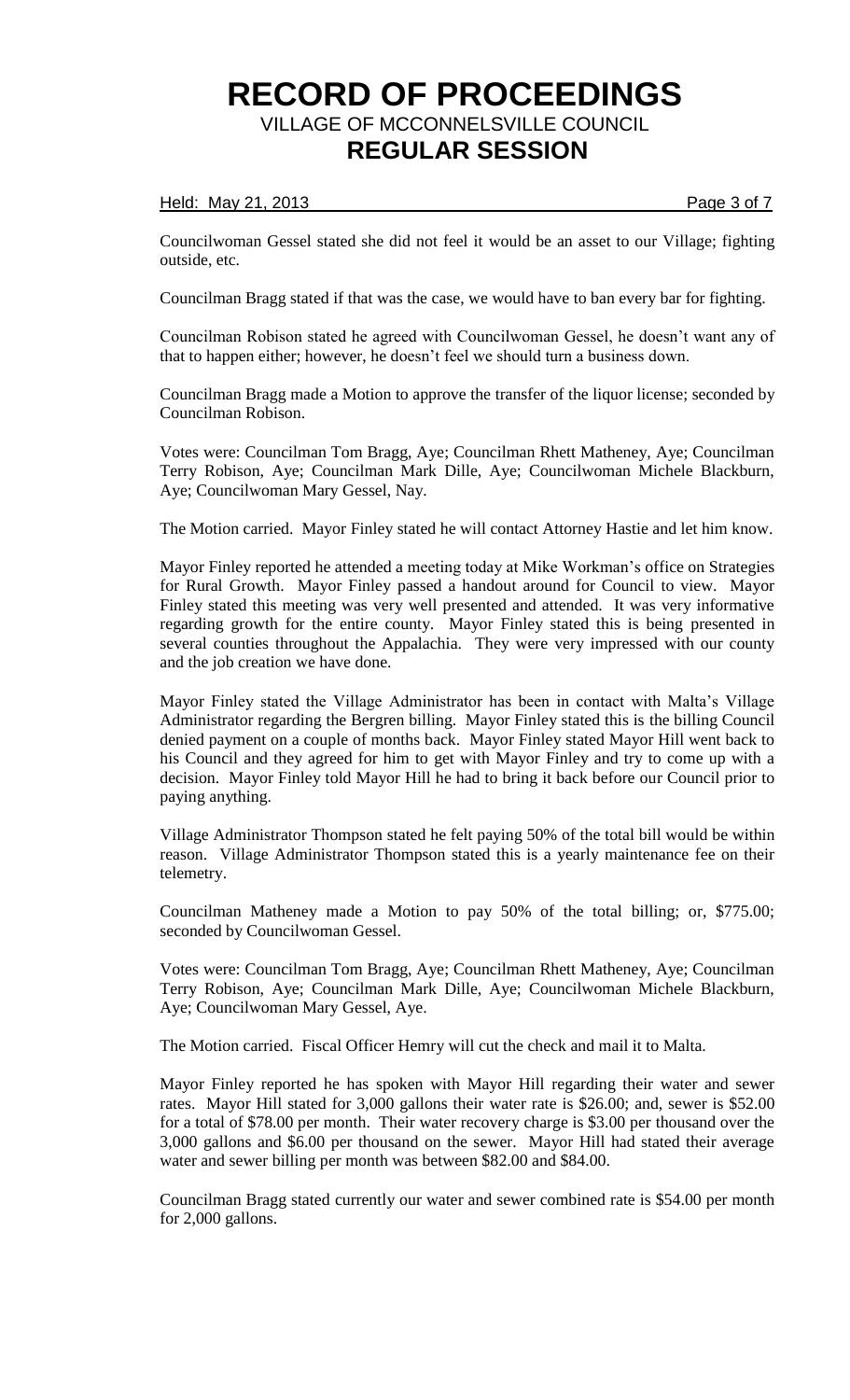### Held: May 21, 2013 **Page 3 of 7**

Councilwoman Gessel stated she did not feel it would be an asset to our Village; fighting outside, etc.

Councilman Bragg stated if that was the case, we would have to ban every bar for fighting.

Councilman Robison stated he agreed with Councilwoman Gessel, he doesn't want any of that to happen either; however, he doesn't feel we should turn a business down.

Councilman Bragg made a Motion to approve the transfer of the liquor license; seconded by Councilman Robison.

Votes were: Councilman Tom Bragg, Aye; Councilman Rhett Matheney, Aye; Councilman Terry Robison, Aye; Councilman Mark Dille, Aye; Councilwoman Michele Blackburn, Aye; Councilwoman Mary Gessel, Nay.

The Motion carried. Mayor Finley stated he will contact Attorney Hastie and let him know.

Mayor Finley reported he attended a meeting today at Mike Workman's office on Strategies for Rural Growth. Mayor Finley passed a handout around for Council to view. Mayor Finley stated this meeting was very well presented and attended. It was very informative regarding growth for the entire county. Mayor Finley stated this is being presented in several counties throughout the Appalachia. They were very impressed with our county and the job creation we have done.

Mayor Finley stated the Village Administrator has been in contact with Malta's Village Administrator regarding the Bergren billing. Mayor Finley stated this is the billing Council denied payment on a couple of months back. Mayor Finley stated Mayor Hill went back to his Council and they agreed for him to get with Mayor Finley and try to come up with a decision. Mayor Finley told Mayor Hill he had to bring it back before our Council prior to paying anything.

Village Administrator Thompson stated he felt paying 50% of the total bill would be within reason. Village Administrator Thompson stated this is a yearly maintenance fee on their telemetry.

Councilman Matheney made a Motion to pay 50% of the total billing; or, \$775.00; seconded by Councilwoman Gessel.

Votes were: Councilman Tom Bragg, Aye; Councilman Rhett Matheney, Aye; Councilman Terry Robison, Aye; Councilman Mark Dille, Aye; Councilwoman Michele Blackburn, Aye; Councilwoman Mary Gessel, Aye.

The Motion carried. Fiscal Officer Hemry will cut the check and mail it to Malta.

Mayor Finley reported he has spoken with Mayor Hill regarding their water and sewer rates. Mayor Hill stated for 3,000 gallons their water rate is \$26.00; and, sewer is \$52.00 for a total of \$78.00 per month. Their water recovery charge is \$3.00 per thousand over the 3,000 gallons and \$6.00 per thousand on the sewer. Mayor Hill had stated their average water and sewer billing per month was between \$82.00 and \$84.00.

Councilman Bragg stated currently our water and sewer combined rate is \$54.00 per month for 2,000 gallons.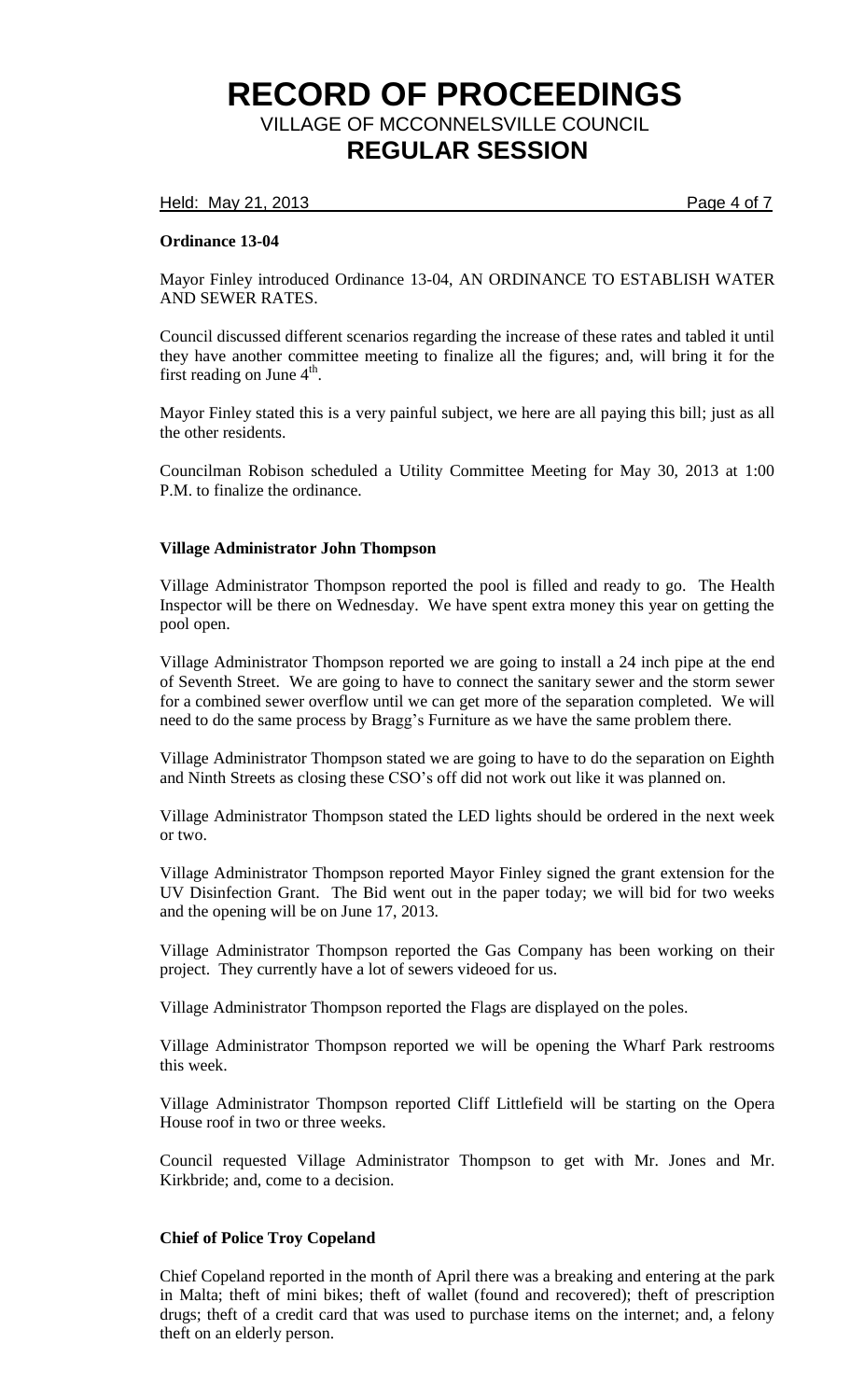Held: May 21, 2013 **Page 4 of 7** 

# **Ordinance 13-04**

Mayor Finley introduced Ordinance 13-04, AN ORDINANCE TO ESTABLISH WATER AND SEWER RATES.

Council discussed different scenarios regarding the increase of these rates and tabled it until they have another committee meeting to finalize all the figures; and, will bring it for the first reading on June  $4^{\text{th}}$ .

Mayor Finley stated this is a very painful subject, we here are all paying this bill; just as all the other residents.

Councilman Robison scheduled a Utility Committee Meeting for May 30, 2013 at 1:00 P.M. to finalize the ordinance.

### **Village Administrator John Thompson**

Village Administrator Thompson reported the pool is filled and ready to go. The Health Inspector will be there on Wednesday. We have spent extra money this year on getting the pool open.

Village Administrator Thompson reported we are going to install a 24 inch pipe at the end of Seventh Street. We are going to have to connect the sanitary sewer and the storm sewer for a combined sewer overflow until we can get more of the separation completed. We will need to do the same process by Bragg's Furniture as we have the same problem there.

Village Administrator Thompson stated we are going to have to do the separation on Eighth and Ninth Streets as closing these CSO's off did not work out like it was planned on.

Village Administrator Thompson stated the LED lights should be ordered in the next week or two.

Village Administrator Thompson reported Mayor Finley signed the grant extension for the UV Disinfection Grant. The Bid went out in the paper today; we will bid for two weeks and the opening will be on June 17, 2013.

Village Administrator Thompson reported the Gas Company has been working on their project. They currently have a lot of sewers videoed for us.

Village Administrator Thompson reported the Flags are displayed on the poles.

Village Administrator Thompson reported we will be opening the Wharf Park restrooms this week.

Village Administrator Thompson reported Cliff Littlefield will be starting on the Opera House roof in two or three weeks.

Council requested Village Administrator Thompson to get with Mr. Jones and Mr. Kirkbride; and, come to a decision.

# **Chief of Police Troy Copeland**

Chief Copeland reported in the month of April there was a breaking and entering at the park in Malta; theft of mini bikes; theft of wallet (found and recovered); theft of prescription drugs; theft of a credit card that was used to purchase items on the internet; and, a felony theft on an elderly person.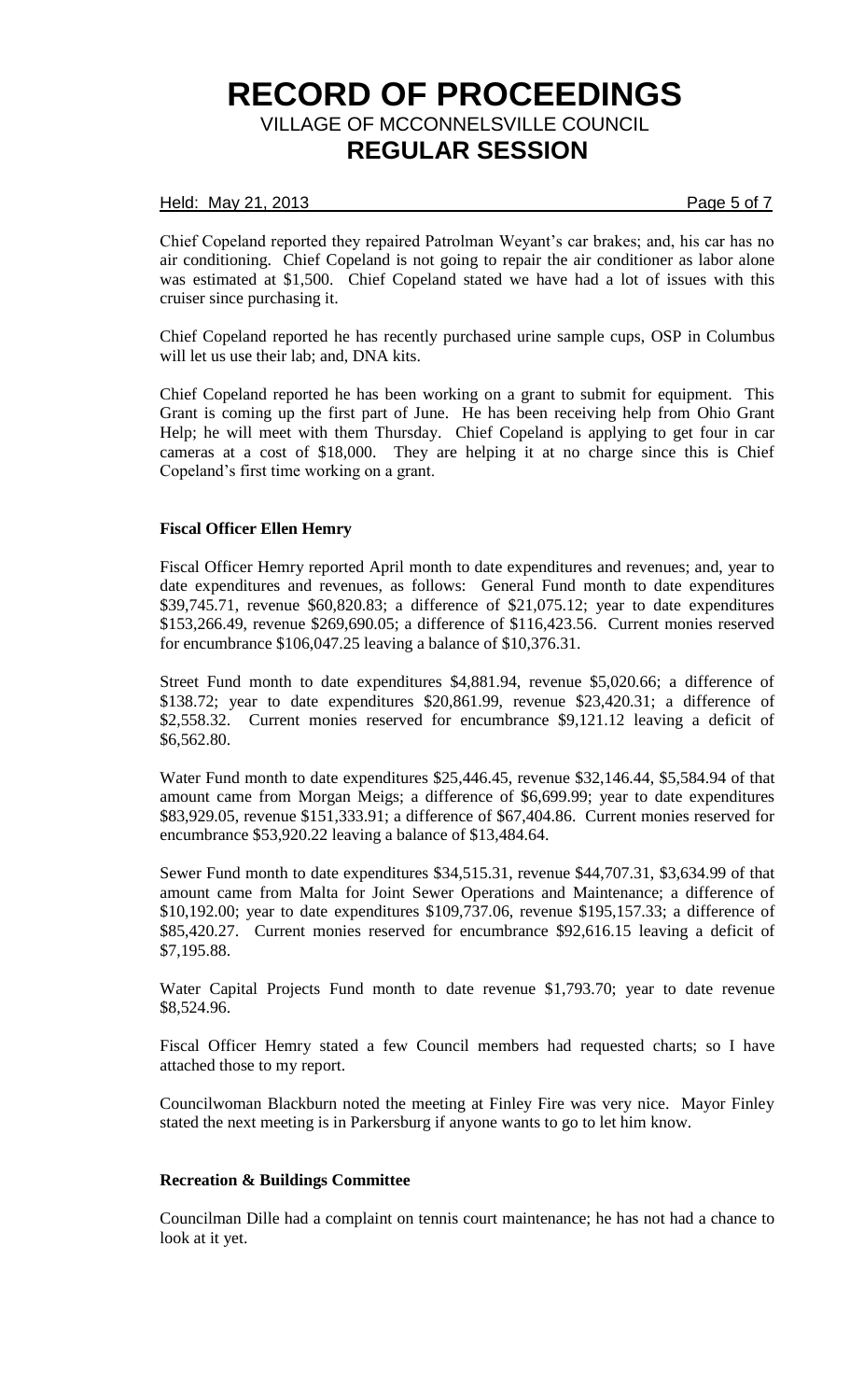#### Held: May 21, 2013 **Page 5 of 7**

Chief Copeland reported they repaired Patrolman Weyant's car brakes; and, his car has no air conditioning. Chief Copeland is not going to repair the air conditioner as labor alone was estimated at \$1,500. Chief Copeland stated we have had a lot of issues with this cruiser since purchasing it.

Chief Copeland reported he has recently purchased urine sample cups, OSP in Columbus will let us use their lab; and, DNA kits.

Chief Copeland reported he has been working on a grant to submit for equipment. This Grant is coming up the first part of June. He has been receiving help from Ohio Grant Help; he will meet with them Thursday. Chief Copeland is applying to get four in car cameras at a cost of \$18,000. They are helping it at no charge since this is Chief Copeland's first time working on a grant.

### **Fiscal Officer Ellen Hemry**

Fiscal Officer Hemry reported April month to date expenditures and revenues; and, year to date expenditures and revenues, as follows: General Fund month to date expenditures \$39,745.71, revenue \$60,820.83; a difference of \$21,075.12; year to date expenditures \$153,266.49, revenue \$269,690.05; a difference of \$116,423.56. Current monies reserved for encumbrance \$106,047.25 leaving a balance of \$10,376.31.

Street Fund month to date expenditures \$4,881.94, revenue \$5,020.66; a difference of \$138.72; year to date expenditures \$20,861.99, revenue \$23,420.31; a difference of \$2,558.32. Current monies reserved for encumbrance \$9,121.12 leaving a deficit of \$6,562.80.

Water Fund month to date expenditures \$25,446.45, revenue \$32,146.44, \$5,584.94 of that amount came from Morgan Meigs; a difference of \$6,699.99; year to date expenditures \$83,929.05, revenue \$151,333.91; a difference of \$67,404.86. Current monies reserved for encumbrance \$53,920.22 leaving a balance of \$13,484.64.

Sewer Fund month to date expenditures \$34,515.31, revenue \$44,707.31, \$3,634.99 of that amount came from Malta for Joint Sewer Operations and Maintenance; a difference of \$10,192.00; year to date expenditures \$109,737.06, revenue \$195,157.33; a difference of \$85,420.27. Current monies reserved for encumbrance \$92,616.15 leaving a deficit of \$7,195.88.

Water Capital Projects Fund month to date revenue \$1,793.70; year to date revenue \$8,524.96.

Fiscal Officer Hemry stated a few Council members had requested charts; so I have attached those to my report.

Councilwoman Blackburn noted the meeting at Finley Fire was very nice. Mayor Finley stated the next meeting is in Parkersburg if anyone wants to go to let him know.

# **Recreation & Buildings Committee**

Councilman Dille had a complaint on tennis court maintenance; he has not had a chance to look at it yet.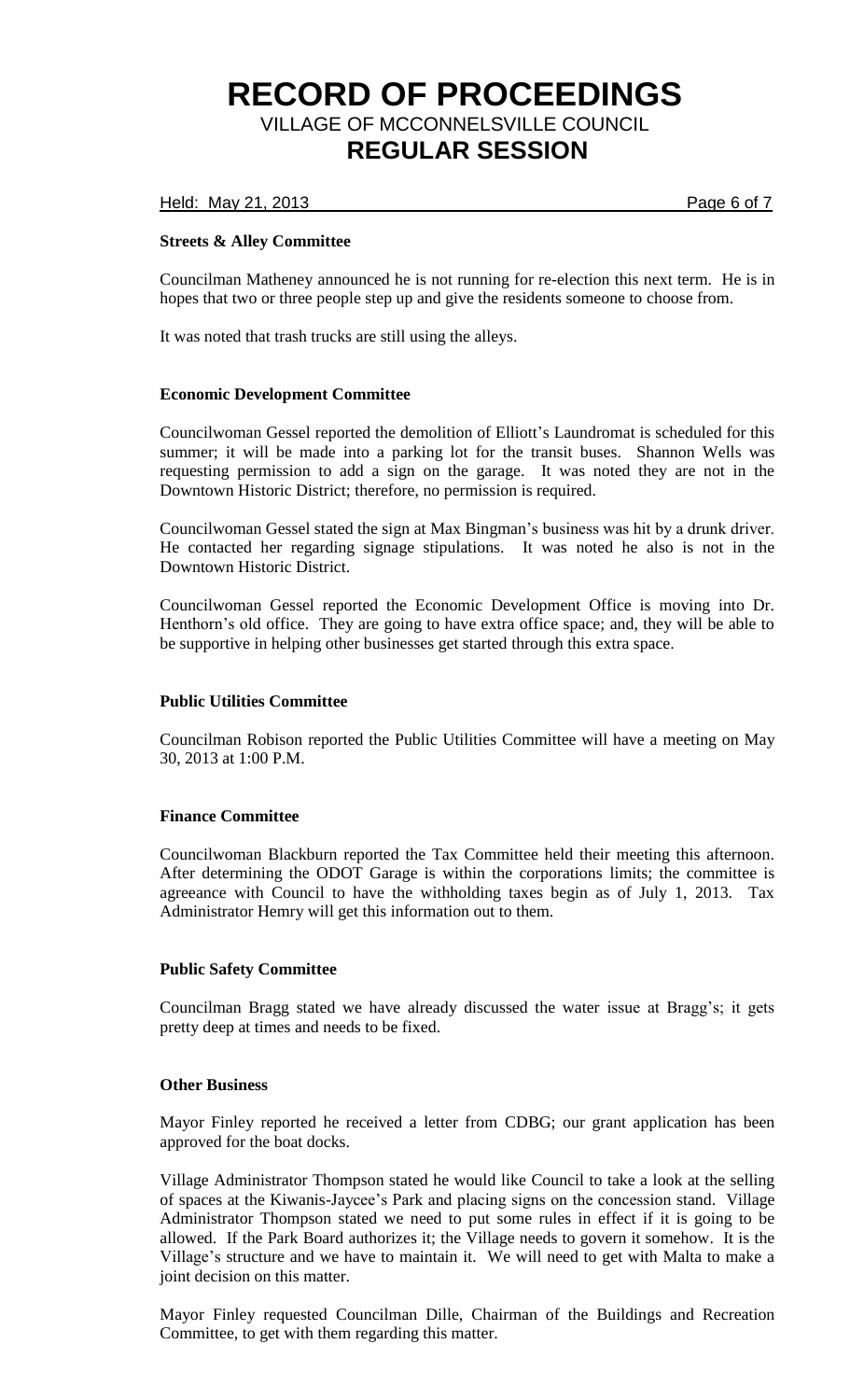Held: May 21, 2013 **Page 6 of 7** 

# **Streets & Alley Committee**

Councilman Matheney announced he is not running for re-election this next term. He is in hopes that two or three people step up and give the residents someone to choose from.

It was noted that trash trucks are still using the alleys.

# **Economic Development Committee**

Councilwoman Gessel reported the demolition of Elliott's Laundromat is scheduled for this summer; it will be made into a parking lot for the transit buses. Shannon Wells was requesting permission to add a sign on the garage. It was noted they are not in the Downtown Historic District; therefore, no permission is required.

Councilwoman Gessel stated the sign at Max Bingman's business was hit by a drunk driver. He contacted her regarding signage stipulations. It was noted he also is not in the Downtown Historic District.

Councilwoman Gessel reported the Economic Development Office is moving into Dr. Henthorn's old office. They are going to have extra office space; and, they will be able to be supportive in helping other businesses get started through this extra space.

#### **Public Utilities Committee**

Councilman Robison reported the Public Utilities Committee will have a meeting on May 30, 2013 at 1:00 P.M.

# **Finance Committee**

Councilwoman Blackburn reported the Tax Committee held their meeting this afternoon. After determining the ODOT Garage is within the corporations limits; the committee is agreeance with Council to have the withholding taxes begin as of July 1, 2013. Tax Administrator Hemry will get this information out to them.

# **Public Safety Committee**

Councilman Bragg stated we have already discussed the water issue at Bragg's; it gets pretty deep at times and needs to be fixed.

### **Other Business**

Mayor Finley reported he received a letter from CDBG; our grant application has been approved for the boat docks.

Village Administrator Thompson stated he would like Council to take a look at the selling of spaces at the Kiwanis-Jaycee's Park and placing signs on the concession stand. Village Administrator Thompson stated we need to put some rules in effect if it is going to be allowed. If the Park Board authorizes it; the Village needs to govern it somehow. It is the Village's structure and we have to maintain it. We will need to get with Malta to make a joint decision on this matter.

Mayor Finley requested Councilman Dille, Chairman of the Buildings and Recreation Committee, to get with them regarding this matter.